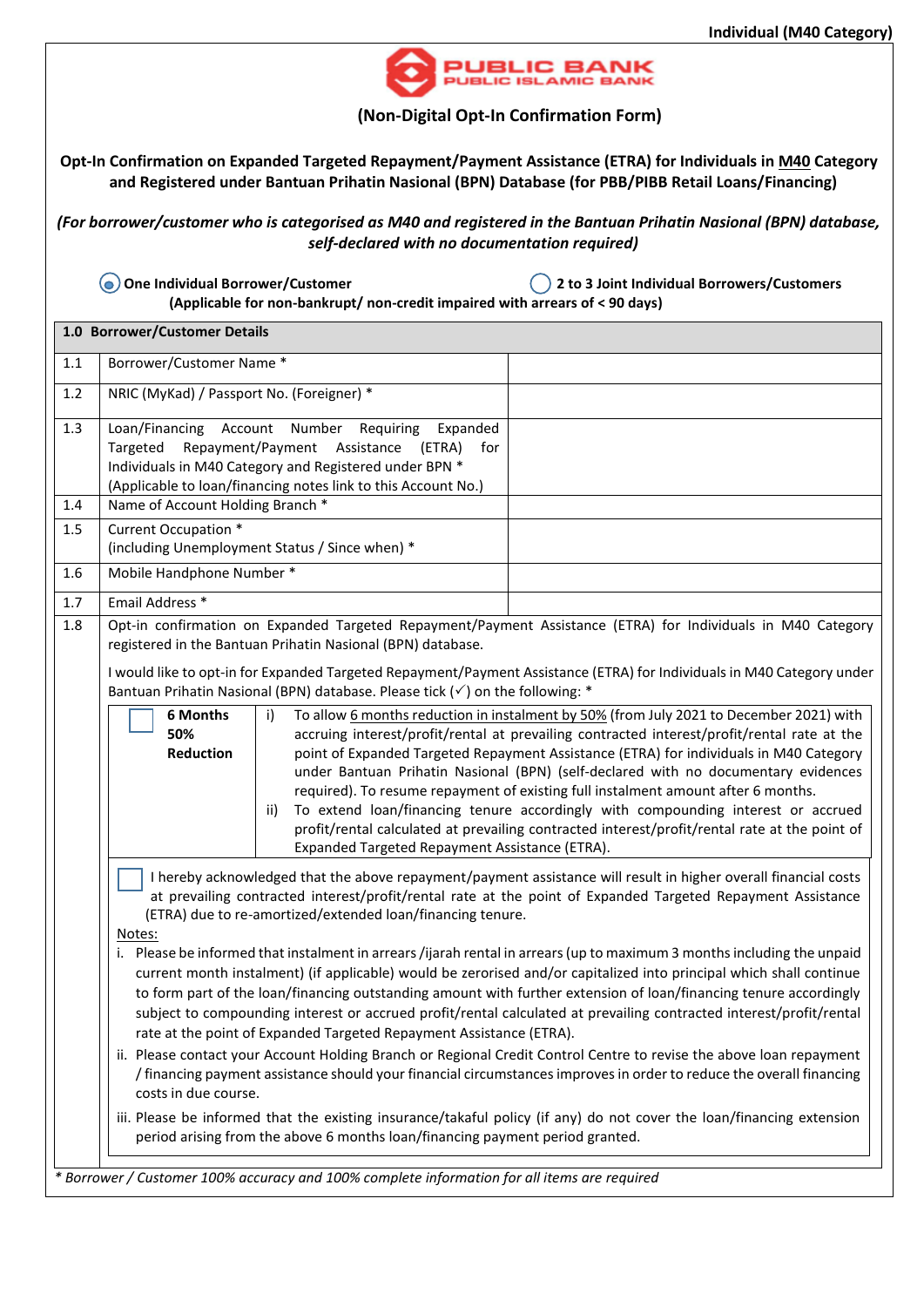

## **(Non-Digital Opt-In Confirmation Form)**

**Opt-In Confirmation on Expanded Targeted Repayment/Payment Assistance (ETRA) for Individuals in M40 Category and Registered under Bantuan Prihatin Nasional (BPN) Database (for PBB/PIBB Retail Loans/Financing)**

*(For borrower/customer who is categorised as M40 and registered in the Bantuan Prihatin Nasional (BPN) database, self-declared with no documentation required)*

 **One Individual Borrower/Customer 2 to 3 Joint Individual Borrowers/Customers (Applicable for non-bankrupt/ non-credit impaired with arrears of < 90 days)** 

| 1.0 Borrower/Customer Details |                                                                                                                                                                                                                                                                                                                                                                                                                                                                                                                                                                                                                                                                                                                                                                                                                                                                                                                                                                                                                                                                                                                                                                                                                                                                                                                                                              |  |  |  |  |  |  |  |  |
|-------------------------------|--------------------------------------------------------------------------------------------------------------------------------------------------------------------------------------------------------------------------------------------------------------------------------------------------------------------------------------------------------------------------------------------------------------------------------------------------------------------------------------------------------------------------------------------------------------------------------------------------------------------------------------------------------------------------------------------------------------------------------------------------------------------------------------------------------------------------------------------------------------------------------------------------------------------------------------------------------------------------------------------------------------------------------------------------------------------------------------------------------------------------------------------------------------------------------------------------------------------------------------------------------------------------------------------------------------------------------------------------------------|--|--|--|--|--|--|--|--|
| 1.1                           | Borrower/Customer Name*                                                                                                                                                                                                                                                                                                                                                                                                                                                                                                                                                                                                                                                                                                                                                                                                                                                                                                                                                                                                                                                                                                                                                                                                                                                                                                                                      |  |  |  |  |  |  |  |  |
| 1.2                           | NRIC (MyKad) / Passport No. (Foreigner) *                                                                                                                                                                                                                                                                                                                                                                                                                                                                                                                                                                                                                                                                                                                                                                                                                                                                                                                                                                                                                                                                                                                                                                                                                                                                                                                    |  |  |  |  |  |  |  |  |
| 1.3<br>1.4                    | Loan/Financing Account Number Requiring<br>Expanded<br>Repayment/Payment Assistance (ETRA)<br>Targeted<br>for<br>Individuals in M40 Category and Registered under BPN *<br>(Applicable to loan/financing notes link to this Account No.)<br>Name of Account Holding Branch *                                                                                                                                                                                                                                                                                                                                                                                                                                                                                                                                                                                                                                                                                                                                                                                                                                                                                                                                                                                                                                                                                 |  |  |  |  |  |  |  |  |
| 1.5                           | Current Occupation *                                                                                                                                                                                                                                                                                                                                                                                                                                                                                                                                                                                                                                                                                                                                                                                                                                                                                                                                                                                                                                                                                                                                                                                                                                                                                                                                         |  |  |  |  |  |  |  |  |
|                               | (including Unemployment Status / Since when) *                                                                                                                                                                                                                                                                                                                                                                                                                                                                                                                                                                                                                                                                                                                                                                                                                                                                                                                                                                                                                                                                                                                                                                                                                                                                                                               |  |  |  |  |  |  |  |  |
| 1.6                           | Mobile Handphone Number *                                                                                                                                                                                                                                                                                                                                                                                                                                                                                                                                                                                                                                                                                                                                                                                                                                                                                                                                                                                                                                                                                                                                                                                                                                                                                                                                    |  |  |  |  |  |  |  |  |
| 1.7                           | Email Address *                                                                                                                                                                                                                                                                                                                                                                                                                                                                                                                                                                                                                                                                                                                                                                                                                                                                                                                                                                                                                                                                                                                                                                                                                                                                                                                                              |  |  |  |  |  |  |  |  |
| 1.8                           | Opt-in confirmation on Expanded Targeted Repayment/Payment Assistance (ETRA) for Individuals in M40 Category<br>registered in the Bantuan Prihatin Nasional (BPN) database.<br>I would like to opt-in for Expanded Targeted Repayment/Payment Assistance (ETRA) for Individuals in M40 Category under<br>Bantuan Prihatin Nasional (BPN) database. Please tick ( $\checkmark$ ) on the following: *                                                                                                                                                                                                                                                                                                                                                                                                                                                                                                                                                                                                                                                                                                                                                                                                                                                                                                                                                          |  |  |  |  |  |  |  |  |
|                               | To allow 6 months reduction in instalment by 50% (from July 2021 to December 2021) with<br>6 Months<br>i)<br>50%<br>accruing interest/profit/rental at prevailing contracted interest/profit/rental rate at the<br>Reduction<br>point of Expanded Targeted Repayment Assistance (ETRA) for individuals in M40 Category<br>under Bantuan Prihatin Nasional (BPN) (self-declared with no documentary evidences<br>required). To resume repayment of existing full instalment amount after 6 months.<br>To extend loan/financing tenure accordingly with compounding interest or accrued<br>ii)<br>profit/rental calculated at prevailing contracted interest/profit/rental rate at the point of<br>Expanded Targeted Repayment Assistance (ETRA).                                                                                                                                                                                                                                                                                                                                                                                                                                                                                                                                                                                                              |  |  |  |  |  |  |  |  |
|                               | I hereby acknowledged that the above repayment/payment assistance will result in higher overall financial costs<br>at prevailing contracted interest/profit/rental rate at the point of Expanded Targeted Repayment Assistance<br>(ETRA) due to re-amortized/extended loan/financing tenure.<br>Notes:<br>i. Please be informed that instalment in arrears /ijarah rental in arrears (up to maximum 3 months including the unpaid<br>current month instalment) (if applicable) would be zerorised and/or capitalized into principal which shall continue<br>to form part of the loan/financing outstanding amount with further extension of loan/financing tenure accordingly<br>subject to compounding interest or accrued profit/rental calculated at prevailing contracted interest/profit/rental<br>rate at the point of Expanded Targeted Repayment Assistance (ETRA).<br>ii. Please contact your Account Holding Branch or Regional Credit Control Centre to revise the above loan repayment<br>/ financing payment assistance should your financial circumstances improves in order to reduce the overall financing<br>costs in due course.<br>iii. Please be informed that the existing insurance/takaful policy (if any) do not cover the loan/financing extension<br>period arising from the above 6 months loan/financing payment period granted. |  |  |  |  |  |  |  |  |
|                               | * Borrower / Customer 100% accuracy and 100% complete information for all items are required                                                                                                                                                                                                                                                                                                                                                                                                                                                                                                                                                                                                                                                                                                                                                                                                                                                                                                                                                                                                                                                                                                                                                                                                                                                                 |  |  |  |  |  |  |  |  |